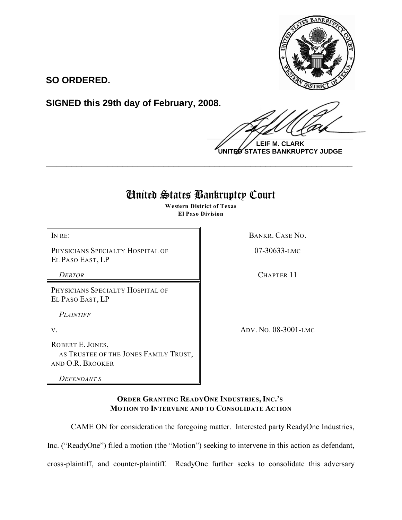

**SO ORDERED.**

**SIGNED this 29th day of February, 2008.**

 $\frac{1}{2}$ 

**LEIF M. CLARK UNITED STATES BANKRUPTCY JUDGE**

# United States Bankruptcy Court

**\_\_\_\_\_\_\_\_\_\_\_\_\_\_\_\_\_\_\_\_\_\_\_\_\_\_\_\_\_\_\_\_\_\_\_\_\_\_\_\_\_\_\_\_\_\_\_\_\_\_\_\_\_\_\_\_\_\_\_\_**

**Western District of Texas El Paso Division**

PHYSICIANS SPECIALTY HOSPITAL OF EL PASO EAST, LP

PHYSICIANS SPECIALTY HOSPITAL OF EL PASO EAST, LP

*PLAINTIFF* 

ROBERT E. JONES, AS TRUSTEE OF THE JONES FAMILY TRUST, AND O.R. BROOKER

*DEFENDANT S*

IN RE: BANKR. CASE NO.

07-30633-LMC

*DEBTOR* CHAPTER 11

V. ADV. NO. 08-3001-LMC

**ORDER GRANTING READYONE INDUSTRIES, INC.'S MOTION TO INTERVENE AND TO CONSOLIDATE ACTION**

CAME ON for consideration the foregoing matter. Interested party ReadyOne Industries,

Inc. ("ReadyOne") filed a motion (the "Motion") seeking to intervene in this action as defendant,

cross-plaintiff, and counter-plaintiff. ReadyOne further seeks to consolidate this adversary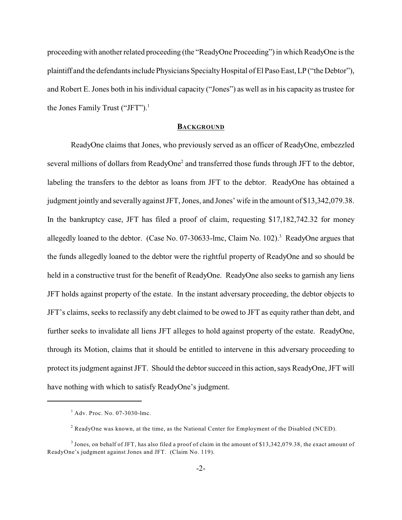proceeding with another related proceeding (the "ReadyOne Proceeding") in which ReadyOne is the plaintiff and the defendants include Physicians Specialty Hospital of El Paso East, LP ("the Debtor"), and Robert E. Jones both in his individual capacity ("Jones") as well as in his capacity as trustee for the Jones Family Trust ("JFT").<sup>1</sup>

## **BACKGROUND**

ReadyOne claims that Jones, who previously served as an officer of ReadyOne, embezzled several millions of dollars from ReadyOne<sup>2</sup> and transferred those funds through JFT to the debtor, labeling the transfers to the debtor as loans from JFT to the debtor. ReadyOne has obtained a judgment jointly and severally against JFT, Jones, and Jones' wife in the amount of \$13,342,079.38. In the bankruptcy case, JFT has filed a proof of claim, requesting \$17,182,742.32 for money allegedly loaned to the debtor. (Case No. 07-30633-lmc, Claim No. 102).<sup>3</sup> ReadyOne argues that the funds allegedly loaned to the debtor were the rightful property of ReadyOne and so should be held in a constructive trust for the benefit of ReadyOne. ReadyOne also seeks to garnish any liens JFT holds against property of the estate. In the instant adversary proceeding, the debtor objects to JFT's claims, seeks to reclassify any debt claimed to be owed to JFT as equity rather than debt, and further seeks to invalidate all liens JFT alleges to hold against property of the estate. ReadyOne, through its Motion, claims that it should be entitled to intervene in this adversary proceeding to protect its judgment against JFT. Should the debtor succeed in this action, says ReadyOne, JFT will have nothing with which to satisfy ReadyOne's judgment.

 $<sup>1</sup>$  Adv. Proc. No. 07-3030-lmc.</sup>

 $<sup>2</sup>$  ReadyOne was known, at the time, as the National Center for Employment of the Disabled (NCED).</sup>

 $3$  Jones, on behalf of JFT, has also filed a proof of claim in the amount of \$13,342,079.38, the exact amount of ReadyOne's judgment against Jones and JFT. (Claim No. 119).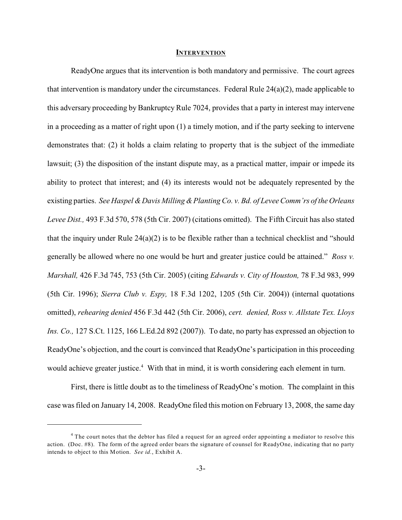#### **INTERVENTION**

ReadyOne argues that its intervention is both mandatory and permissive. The court agrees that intervention is mandatory under the circumstances. Federal Rule  $24(a)(2)$ , made applicable to this adversary proceeding by Bankruptcy Rule 7024, provides that a party in interest may intervene in a proceeding as a matter of right upon (1) a timely motion, and if the party seeking to intervene demonstrates that: (2) it holds a claim relating to property that is the subject of the immediate lawsuit; (3) the disposition of the instant dispute may, as a practical matter, impair or impede its ability to protect that interest; and (4) its interests would not be adequately represented by the existing parties. *See Haspel & Davis Milling & Planting Co. v. Bd. of Levee Comm'rs of the Orleans Levee Dist.,* 493 F.3d 570, 578 (5th Cir. 2007) (citations omitted). The Fifth Circuit has also stated that the inquiry under Rule 24(a)(2) is to be flexible rather than a technical checklist and "should generally be allowed where no one would be hurt and greater justice could be attained." *Ross v. Marshall,* 426 F.3d 745, 753 (5th Cir. 2005) (citing *Edwards v. City of Houston,* 78 F.3d 983, 999 (5th Cir. 1996); *Sierra Club v. Espy,* 18 F.3d 1202, 1205 (5th Cir. 2004)) (internal quotations omitted), *rehearing denied* 456 F.3d 442 (5th Cir. 2006), *cert. denied, Ross v. Allstate Tex. Lloys Ins. Co.,* 127 S.Ct. 1125, 166 L.Ed.2d 892 (2007)). To date, no party has expressed an objection to ReadyOne's objection, and the court is convinced that ReadyOne's participation in this proceeding would achieve greater justice.<sup>4</sup> With that in mind, it is worth considering each element in turn.

First, there is little doubt as to the timeliness of ReadyOne's motion. The complaint in this case was filed on January 14, 2008. ReadyOne filed this motion on February 13, 2008, the same day

<sup>&</sup>lt;sup>4</sup> The court notes that the debtor has filed a request for an agreed order appointing a mediator to resolve this action. (Doc. #8). The form of the agreed order bears the signature of counsel for ReadyOne, indicating that no party intends to object to this Motion. *See id.*, Exhibit A.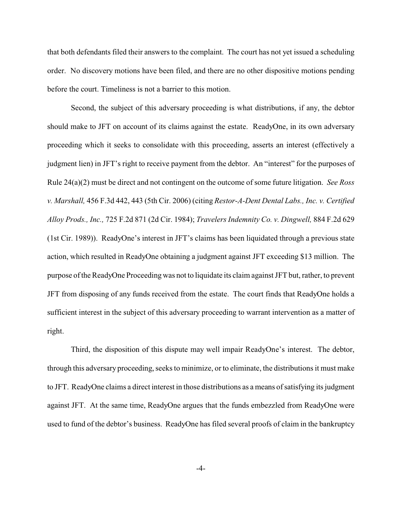that both defendants filed their answers to the complaint. The court has not yet issued a scheduling order. No discovery motions have been filed, and there are no other dispositive motions pending before the court. Timeliness is not a barrier to this motion.

Second, the subject of this adversary proceeding is what distributions, if any, the debtor should make to JFT on account of its claims against the estate. ReadyOne, in its own adversary proceeding which it seeks to consolidate with this proceeding, asserts an interest (effectively a judgment lien) in JFT's right to receive payment from the debtor. An "interest" for the purposes of Rule 24(a)(2) must be direct and not contingent on the outcome of some future litigation. *See Ross v. Marshall,* 456 F.3d 442, 443 (5th Cir. 2006) (citing *Restor-A-Dent Dental Labs., Inc. v. Certified Alloy Prods., Inc.,* 725 F.2d 871 (2d Cir. 1984); *Travelers Indemnity Co. v. Dingwell,* 884 F.2d 629 (1st Cir. 1989)). ReadyOne's interest in JFT's claims has been liquidated through a previous state action, which resulted in ReadyOne obtaining a judgment against JFT exceeding \$13 million. The purpose of the ReadyOne Proceeding was not to liquidate its claim against JFT but, rather, to prevent JFT from disposing of any funds received from the estate. The court finds that ReadyOne holds a sufficient interest in the subject of this adversary proceeding to warrant intervention as a matter of right.

Third, the disposition of this dispute may well impair ReadyOne's interest. The debtor, through this adversary proceeding, seeks to minimize, or to eliminate, the distributions it must make to JFT. ReadyOne claims a direct interest in those distributions as a means of satisfying its judgment against JFT. At the same time, ReadyOne argues that the funds embezzled from ReadyOne were used to fund of the debtor's business. ReadyOne has filed several proofs of claim in the bankruptcy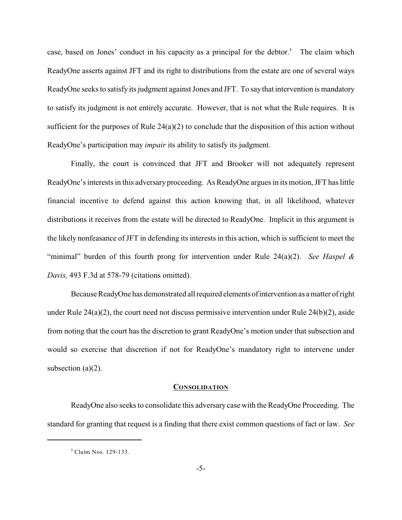case, based on Jones' conduct in his capacity as a principal for the debtor.<sup>5</sup> The claim which ReadyOne asserts against JFT and its right to distributions from the estate are one of several ways ReadyOne seeks to satisfy its judgment against Jones and JFT. To say that intervention is mandatory to satisfy its judgment is not entirely accurate. However, that is not what the Rule requires. It is sufficient for the purposes of Rule 24(a)(2) to conclude that the disposition of this action without ReadyOne's participation may *impair* its ability to satisfy its judgment.

Finally, the court is convinced that JFT and Brooker will not adequately represent ReadyOne's interests in this adversary proceeding. As ReadyOne argues in its motion, JFT has little financial incentive to defend against this action knowing that, in all likelihood, whatever distributions it receives from the estate will be directed to ReadyOne. Implicit in this argument is the likely nonfeasance of JFT in defending its interests in this action, which is sufficient to meet the "minimal" burden of this fourth prong for intervention under Rule 24(a)(2). *See Haspel & Davis,* 493 F.3d at 578-79 (citations omitted).

Because ReadyOne has demonstrated all required elements of intervention as a matter of right under Rule  $24(a)(2)$ , the court need not discuss permissive intervention under Rule  $24(b)(2)$ , aside from noting that the court has the discretion to grant ReadyOne's motion under that subsection and would so exercise that discretion if not for ReadyOne's mandatory right to intervene under subsection  $(a)(2)$ .

### **CONSOLIDATION**

ReadyOne also seeks to consolidate this adversary case with the ReadyOne Proceeding. The standard for granting that request is a finding that there exist common questions of fact or law. *See*

 $<sup>5</sup>$  Claim Nos. 129-133.</sup>